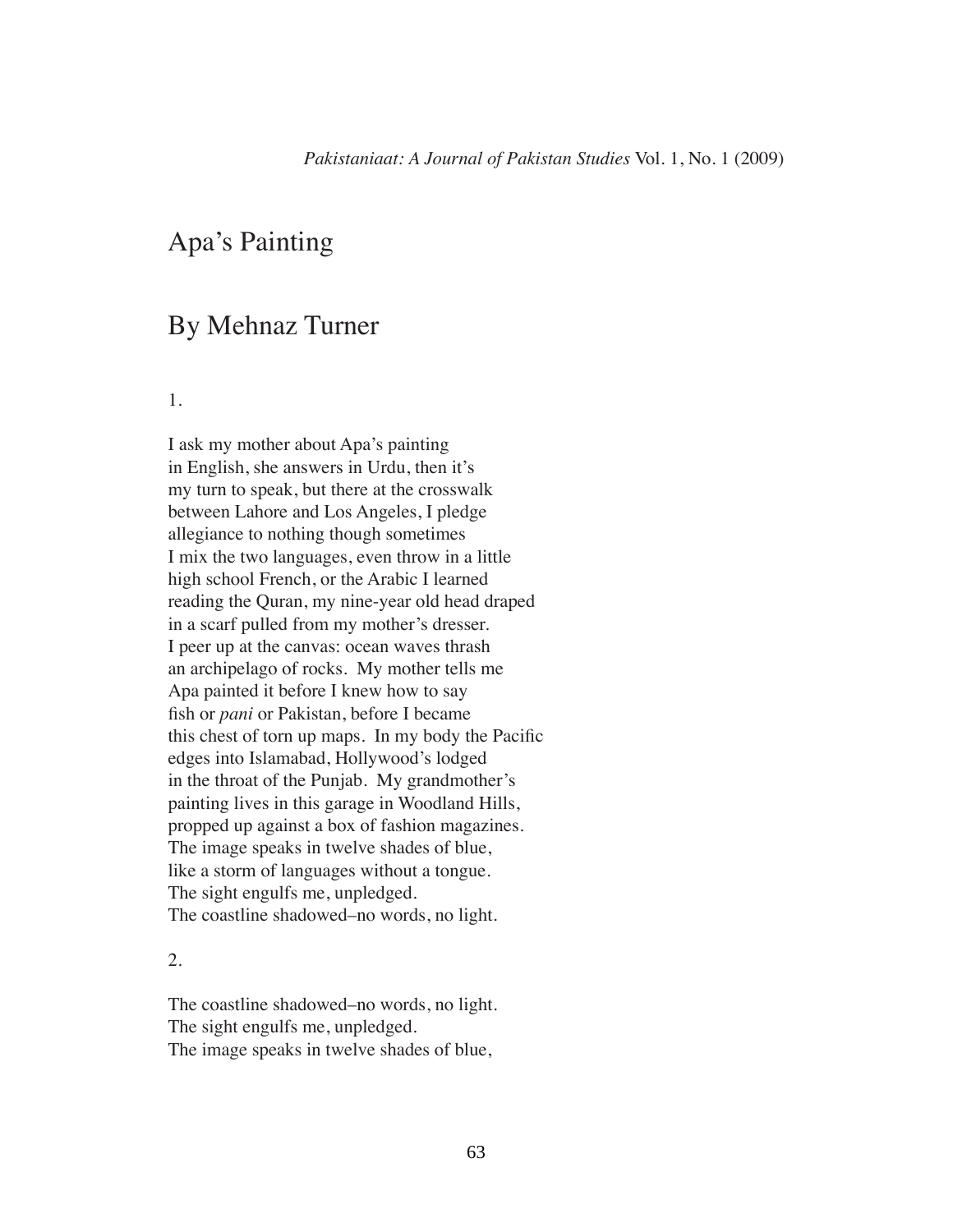## Apa's Painting

## By Mehnaz Turner

1.

I ask my mother about Apa's painting in English, she answers in Urdu, then it's my turn to speak, but there at the crosswalk between Lahore and Los Angeles, I pledge allegiance to nothing though sometimes I mix the two languages, even throw in a little high school French, or the Arabic I learned reading the Quran, my nine-year old head draped in a scarf pulled from my mother's dresser. I peer up at the canvas: ocean waves thrash an archipelago of rocks. My mother tells me Apa painted it before I knew how to say fish or *pani* or Pakistan, before I became this chest of torn up maps. In my body the Pacific edges into Islamabad, Hollywood's lodged in the throat of the Punjab. My grandmother's painting lives in this garage in Woodland Hills, propped up against a box of fashion magazines. The image speaks in twelve shades of blue, like a storm of languages without a tongue. The sight engulfs me, unpledged. The coastline shadowed–no words, no light.

## 2.

The coastline shadowed–no words, no light. The sight engulfs me, unpledged. The image speaks in twelve shades of blue,